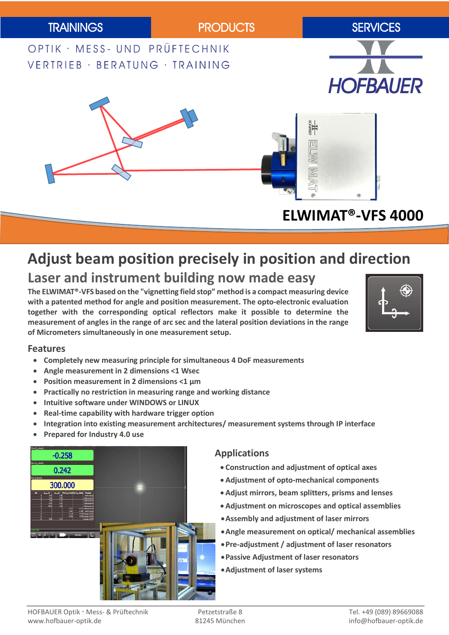

## **Adjust beam position precisely in position and direction Laser and instrument building now made easy**

**The ELWIMAT®-VFS based on the "vignetting field stop" method is a compact measuring device with a patented method for angle and position measurement. The opto-electronic evaluation together with the corresponding optical reflectors make it possible to determine the measurement of angles in the range of arc sec and the lateral position deviations in the range of Micrometers simultaneously in one measurement setup.**



### **Features**

- **Completely new measuring principle for simultaneous 4 DoF measurements**
- **Angle measurement in 2 dimensions <1 Wsec**
- **Position measurement in 2 dimensions <1 µm**
- **Practically no restriction in measuring range and working distance**
- **Intuitive software under WINDOWS or LINUX**
- **Real-time capability with hardware trigger option**
- **Integration into existing measurement architectures/ measurement systems through IP interface**
- **Prepared for Industry 4.0 use**



### **Applications**

- **Construction and adjustment of optical axes**
- **Adjustment of opto-mechanical components**
- **Adjust mirrors, beam splitters, prisms and lenses**
- **Adjustment on microscopes and optical assemblies**
- **Assembly and adjustment of laser mirrors**
- **Angle measurement on optical/ mechanical assemblies**
- **Pre-adjustment / adjustment of laser resonators**
- **Passive Adjustment of laser resonators**
- **Adjustment of laser systems**